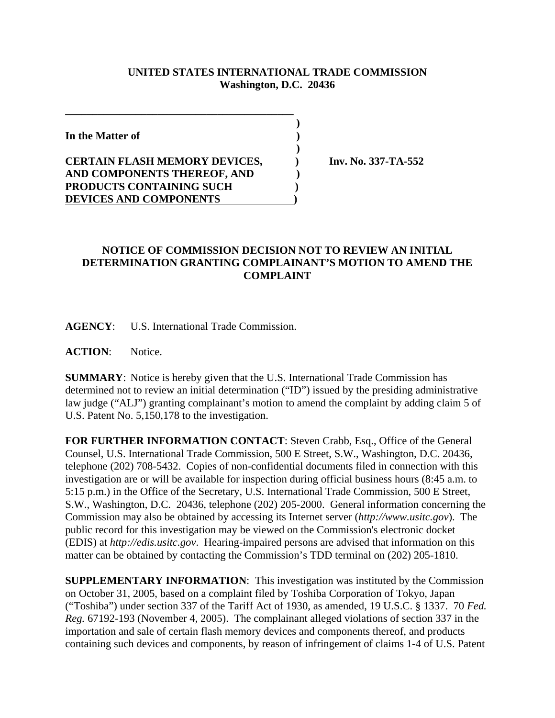## **UNITED STATES INTERNATIONAL TRADE COMMISSION Washington, D.C. 20436**

 **)**

 **)**

**In the Matter of )**

## **CERTAIN FLASH MEMORY DEVICES, ) Inv. No. 337-TA-552 AND COMPONENTS THEREOF, AND ) PRODUCTS CONTAINING SUCH ) DEVICES AND COMPONENTS )**

**\_\_\_\_\_\_\_\_\_\_\_\_\_\_\_\_\_\_\_\_\_\_\_\_\_\_\_\_\_\_\_\_\_\_\_\_\_\_\_\_\_\_**

## **NOTICE OF COMMISSION DECISION NOT TO REVIEW AN INITIAL DETERMINATION GRANTING COMPLAINANT'S MOTION TO AMEND THE COMPLAINT**

**AGENCY**: U.S. International Trade Commission.

**ACTION**: Notice.

**SUMMARY**: Notice is hereby given that the U.S. International Trade Commission has determined not to review an initial determination ("ID") issued by the presiding administrative law judge ("ALJ") granting complainant's motion to amend the complaint by adding claim 5 of U.S. Patent No. 5,150,178 to the investigation.

**FOR FURTHER INFORMATION CONTACT**: Steven Crabb, Esq., Office of the General Counsel, U.S. International Trade Commission, 500 E Street, S.W., Washington, D.C. 20436, telephone (202) 708-5432. Copies of non-confidential documents filed in connection with this investigation are or will be available for inspection during official business hours (8:45 a.m. to 5:15 p.m.) in the Office of the Secretary, U.S. International Trade Commission, 500 E Street, S.W., Washington, D.C. 20436, telephone (202) 205-2000. General information concerning the Commission may also be obtained by accessing its Internet server (*http://www.usitc.gov*). The public record for this investigation may be viewed on the Commission's electronic docket (EDIS) at *http://edis.usitc.gov*. Hearing-impaired persons are advised that information on this matter can be obtained by contacting the Commission's TDD terminal on (202) 205-1810.

**SUPPLEMENTARY INFORMATION**: This investigation was instituted by the Commission on October 31, 2005, based on a complaint filed by Toshiba Corporation of Tokyo, Japan ("Toshiba") under section 337 of the Tariff Act of 1930, as amended, 19 U.S.C. § 1337. 70 *Fed. Reg.* 67192-193 (November 4, 2005). The complainant alleged violations of section 337 in the importation and sale of certain flash memory devices and components thereof, and products containing such devices and components, by reason of infringement of claims 1-4 of U.S. Patent